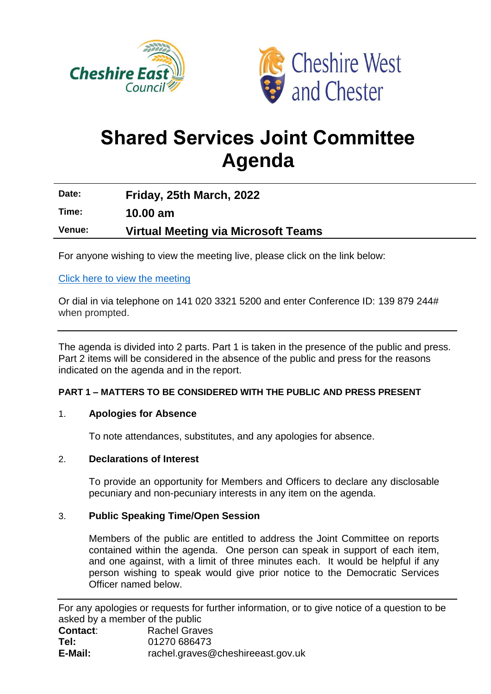



# **Shared Services Joint Committee Agenda**

**Date: Friday, 25th March, 2022 Time: 10.00 am Venue: Virtual Meeting via Microsoft Teams**

For anyone wishing to view the meeting live, please click on the link below:

# [Click here to view the meeting](https://teams.microsoft.com/l/meetup-join/19%3ameeting_YjYwYTE2YjEtMmE5ZC00YjFhLWEzODgtZTY0ZTFlOTA5MmNi%40thread.v2/0?context=%7b%22Tid%22%3a%22cdb92d10-23cb-4ac1-a9b3-34f4faaa2851%22%2c%22Oid%22%3a%2266f2cf46-7470-459f-adaa-8bab2899eb00%22%7d)

Or dial in via telephone on 141 020 3321 5200 and enter Conference ID: 139 879 244# when prompted.

The agenda is divided into 2 parts. Part 1 is taken in the presence of the public and press. Part 2 items will be considered in the absence of the public and press for the reasons indicated on the agenda and in the report.

# **PART 1 – MATTERS TO BE CONSIDERED WITH THE PUBLIC AND PRESS PRESENT**

### 1. **Apologies for Absence**

To note attendances, substitutes, and any apologies for absence.

### 2. **Declarations of Interest**

To provide an opportunity for Members and Officers to declare any disclosable pecuniary and non-pecuniary interests in any item on the agenda.

### 3. **Public Speaking Time/Open Session**

Members of the public are entitled to address the Joint Committee on reports contained within the agenda. One person can speak in support of each item, and one against, with a limit of three minutes each. It would be helpful if any person wishing to speak would give prior notice to the Democratic Services Officer named below.

For any apologies or requests for further information, or to give notice of a question to be asked by a member of the public **Contact:** Rachel Graves **Tel:** 01270 686473 **E-Mail:** rachel.graves@cheshireeast.gov.uk